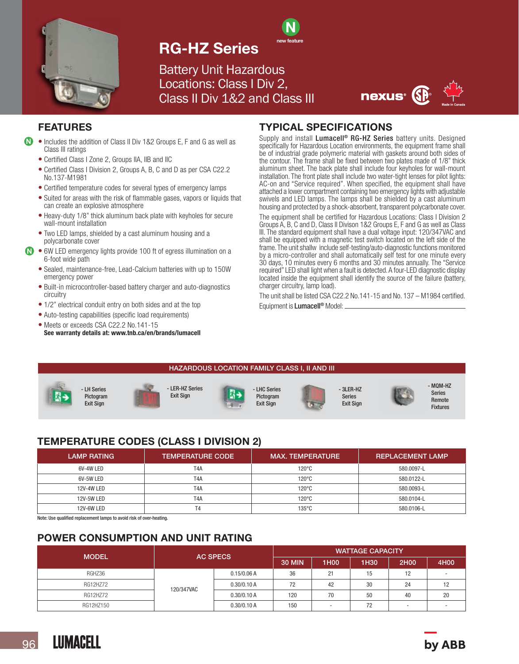

## RG-HZ Series

Battery Unit Hazardous Locations: Class I Div 2, Class II Div 1&2 and Class III



## FEATURES

- Includes the addition of Class II Div 1&2 Groups E, F and G as well as Class III ratings  $\boldsymbol{\Omega}$ 
	- Certified Class I Zone 2, Groups IIA, IIB and IIC
	- Certified Class I Division 2, Groups A, B, C and D as per CSA C22.2 No.137-M1981
	- Certified temperature codes for several types of emergency lamps
	- Suited for areas with the risk of flammable gases, vapors or liquids that can create an explosive atmosphere
	- Heavy-duty 1/8" thick aluminum back plate with keyholes for secure wall-mount installation
	- Two LED lamps, shielded by a cast aluminum housing and a polycarbonate cover
- **N** 6W LED emergency lights provide 100 ft of egress illumination on a 6-foot wide path
	- Sealed, maintenance-free, Lead-Calcium batteries with up to 150W emergency power
	- Built-in microcontroller-based battery charger and auto-diagnostics circuitry
	- 1/2" electrical conduit entry on both sides and at the top
	- Auto-testing capabilities (specific load requirements)
	- Meets or exceeds CSA C22.2 No.141-15 See warranty details at: www.tnb.ca/en/brands/lumacell

### TYPICAL SPECIFICATIONS

N new feature

Supply and install Lumacell<sup>®</sup> RG-HZ Series battery units. Designed specifically for Hazardous Location environments, the equipment frame shall be of industrial grade polymeric material with gaskets around both sides of the contour. The frame shall be fixed between two plates made of 1/8" thick aluminum sheet. The back plate shall include four keyholes for wall-mount installation. The front plate shall include two water-tight lenses for pilot lights: AC-on and "Service required". When specified, the equipment shall have attached a lower compartment containing two emergency lights with adjustable swivels and LED lamps. The lamps shall be shielded by a cast aluminum housing and protected by a shock-absorbent, transparent polycarbonate cover.

The equipment shall be certified for Hazardous Locations: Class I Division 2 Groups A, B, C and D, Class II Divison 1&2 Groups E, F and G as well as Class III. The standard equipment shall have a dual voltage input: 120/347VAC and shall be equipped with a magnetic test switch located on the left side of the frame. The unit shallw include self-testing/auto-diagnostic functions monitored by a micro-controller and shall automatically self test for one minute every 30 days, 10 minutes every 6 months and 30 minutes annually. The "Service required" LED shall light when a fault is detected. A four-LED diagnostic display located inside the equipment shall identify the source of the failure (battery, charger circuitry, lamp load).

The unit shall be listed CSA C22.2 No.141-15 and No. 137 – M1984 certified. Equipment is Lumacell<sup>®</sup> Model:



## TEMPERATURE CODES (CLASS I DIVISION 2)

| <b>LAMP RATING</b> | <b>TEMPERATURE CODE</b> | <b>MAX. TEMPERATURE</b> | <b>REPLACEMENT LAMP</b> |
|--------------------|-------------------------|-------------------------|-------------------------|
| 6V-4W LED          | T <sub>4</sub> A        | $120^{\circ}$ C         | 580.0097-L              |
| 6V-5W LED          | T <sub>4</sub> A        | $120^{\circ}$ C         | 580.0122-L              |
| <b>12V-4W LED</b>  | T <sub>4</sub> A        | $120^{\circ}$ C         | 580.0093-L              |
| 12V-5W LED         | T4A                     | $120^{\circ}$ C         | 580.0104-L              |
| 12V-6W LED         | Τ4                      | $135^{\circ}$ C         | 580.0106-L              |

Note: Use qualified replacement lamps to avoid risk of over-heating.

## POWER CONSUMPTION AND UNIT RATING

| <b>MODEL</b> | <b>AC SPECS</b> |             | <b>WATTAGE CAPACITY</b> |      |                  |           |      |
|--------------|-----------------|-------------|-------------------------|------|------------------|-----------|------|
|              |                 |             | <b>30 MIN</b>           | 1H00 | 1H <sub>30</sub> | 2H00      | 4H00 |
| RGHZ36       | 120/347VAC      | 0.15/0.06 A | 36                      | 21   | 15               | 12<br>1 C |      |
| RG12HZ72     |                 | 0.30/0.10 A | 72                      | 42   | 30               | 24        | 12   |
| RG12HZ72     |                 | 0.30/0.10 A | 120                     | 70   | 50               | 40        | 20   |
| RG12HZ150    |                 | 0.30/0.10 A | 150                     | -    | 72               |           |      |